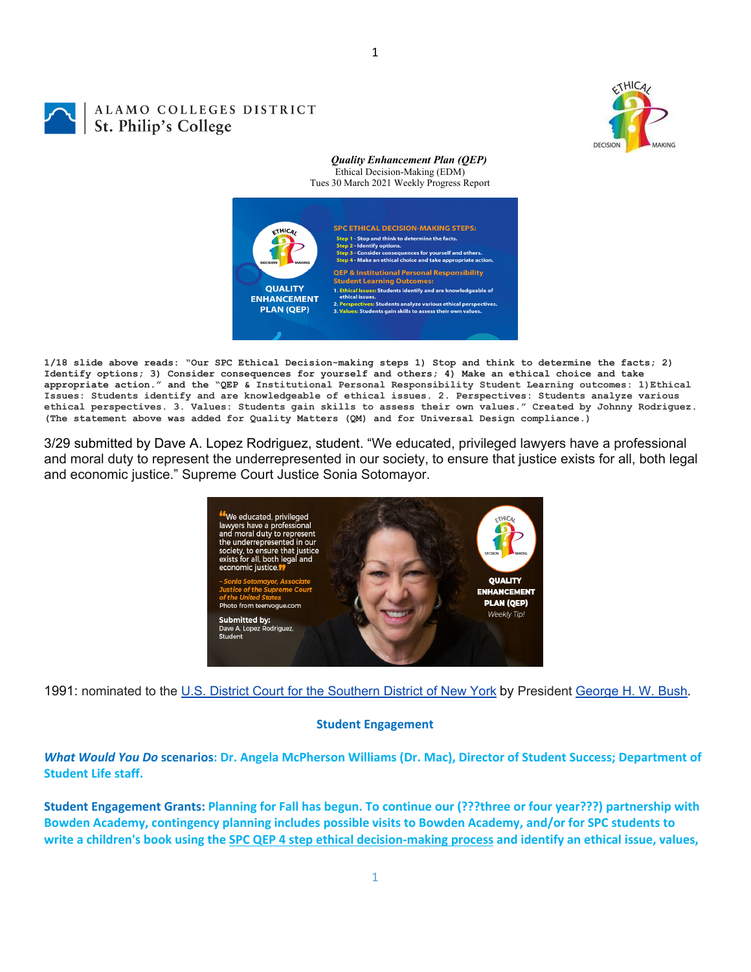

# ALAMO COLLEGES DISTRICT St. Philip's College

#### *Quality Enhancement Plan (QEP)* Ethical Decision-Making (EDM) Tues 30 March 2021 Weekly Progress Report



**1/18 slide above reads: "Our SPC Ethical Decision-making steps 1) Stop and think to determine the facts; 2) Identify options; 3) Consider consequences for yourself and others; 4) Make an ethical choice and take appropriate action." and the "QEP & Institutional Personal Responsibility Student Learning outcomes: 1)Ethical Issues: Students identify and are knowledgeable of ethical issues. 2. Perspectives: Students analyze various ethical perspectives. 3. Values: Students gain skills to assess their own values." Created by Johnny Rodriguez. (The statement above was added for Quality Matters (QM) and for Universal Design compliance.)**

3/29 submitted by Dave A. Lopez Rodriguez, student. "We educated, privileged lawyers have a professional and moral duty to represent the underrepresented in our society, to ensure that justice exists for all, both legal and economic justice." Supreme Court Justice Sonia Sotomayor.



1991: nominated to the U.S. District Court for the Southern District of New York by President George H. W. Bush.

## **Student Engagement**

What Would You Do scenarios: Dr. Angela McPherson Williams (Dr. Mac), Director of Student Success; Department of **Student Life staff.**

Student Engagement Grants: Planning for Fall has begun. To continue our (???three or four year???) partnership with **Bowden Academy, contingency planning includes possible visits to Bowden Academy, and/or for SPC students to** write a children's book using the SPC QEP 4 step ethical decision-making process and identify an ethical issue, values,

1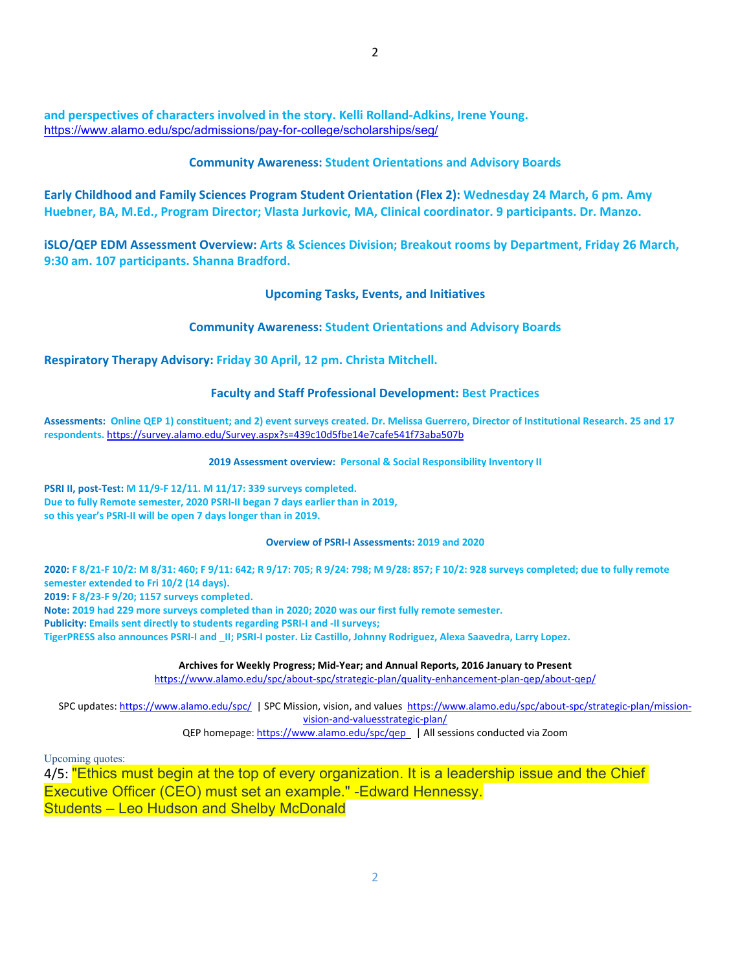**and perspectives of characters involved in the story. Kelli Rolland‐Adkins, Irene Young.** https://www.alamo.edu/spc/admissions/pay-for-college/scholarships/seg/

### **Community Awareness: Student Orientations and Advisory Boards**

**Early Childhood and Family Sciences Program Student Orientation (Flex 2): Wednesday 24 March, 6 pm. Amy Huebner, BA, M.Ed., Program Director; Vlasta Jurkovic, MA, Clinical coordinator. 9 participants. Dr. Manzo.**

**iSLO/QEP EDM Assessment Overview: Arts & Sciences Division; Breakout rooms by Department, Friday 26 March, 9:30 am. 107 participants. Shanna Bradford.**

**Upcoming Tasks, Events, and Initiatives**

**Community Awareness: Student Orientations and Advisory Boards**

**Respiratory Therapy Advisory: Friday 30 April, 12 pm. Christa Mitchell.**

#### **Faculty and Staff Professional Development: Best Practices**

Assessments: Online QEP 1) constituent; and 2) event surveys created. Dr. Melissa Guerrero, Director of Institutional Research. 25 and 17 **respondents.** https://survey.alamo.edu/Survey.aspx?s=439c10d5fbe14e7cafe541f73aba507b

**2019 Assessment overview: Personal & Social Responsibility Inventory II**

**PSRI II, post‐Test: M 11/9‐F 12/11. M 11/17: 339 surveys completed. Due to fully Remote semester, 2020 PSRI‐II began 7 days earlier than in 2019, so this year's PSRI‐II will be open 7 days longer than in 2019.**

#### **Overview of PSRI‐I Assessments: 2019 and 2020**

2020: F 8/21-F 10/2: M 8/31: 460; F 9/11: 642; R 9/17: 705; R 9/24: 798; M 9/28: 857; F 10/2: 928 surveys completed; due to fully remote **semester extended to Fri 10/2 (14 days).** 

**2019: F 8/23‐F 9/20; 1157 surveys completed.**

Note: 2019 had 229 more surveys completed than in 2020; 2020 was our first fully remote semester.

**Publicity: Emails sent directly to students regarding PSRI‐I and ‐II surveys;** 

TigerPRESS also announces PSRI-I and II; PSRI-I poster. Liz Castillo, Johnny Rodriguez, Alexa Saavedra, Larry Lopez.

**Archives for Weekly Progress; Mid‐Year; and Annual Reports, 2016 January to Present**

https://www.alamo.edu/spc/about‐spc/strategic‐plan/quality‐enhancement‐plan‐qep/about‐qep/

SPC updates: https://www.alamo.edu/spc/ | SPC Mission, vision, and values https://www.alamo.edu/spc/about‐spc/strategic‐plan/mission‐ vision‐and‐valuesstrategic‐plan/

QEP homepage: https://www.alamo.edu/spc/qep | All sessions conducted via Zoom

Upcoming quotes:

4/5: "Ethics must begin at the top of every organization. It is a leadership issue and the Chief Executive Officer (CEO) must set an example." -Edward Hennessy. Students – Leo Hudson and Shelby McDonald